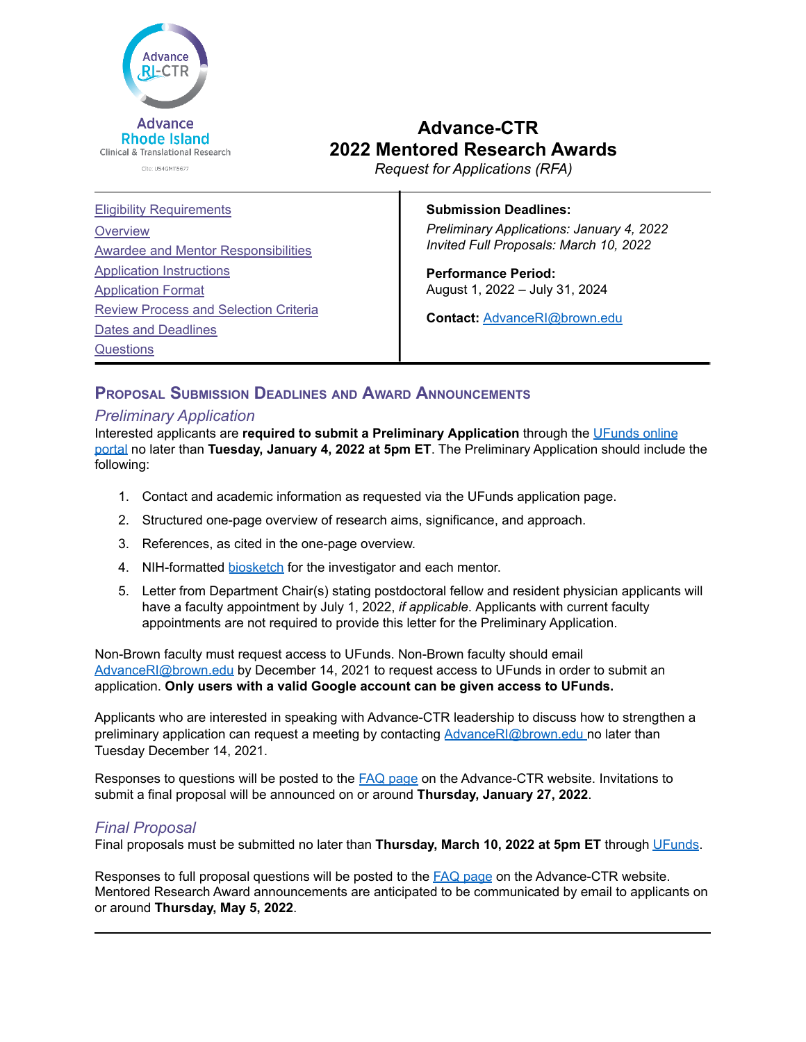

# **Advance-CTR 2022 Mentored Research Awards**

*Request for Applications (RFA)*

## **Submission Deadlines:**

*Preliminary Applications: January 4, 2022 Invited Full Proposals: March 10, 2022*

**Performance Period:** August 1, 2022 – July 31, 2024

**Contact:** [AdvanceRI@brown.edu](mailto:AdvanceRI@brown.edu)

# **PROPOSAL SUBMISSION DEADLINES AND AWARD ANNOUNCEMENTS**

# <span id="page-0-0"></span>*Preliminary Application*

Interested applicants are **required to submit a Preliminary Application** through the [UFunds](https://ufunds.brown.edu/) online [portal](https://ufunds.brown.edu/) no later than **Tuesday, January 4, 2022 at 5pm ET**. The Preliminary Application should include the following:

- 1. Contact and academic information as requested via the UFunds application page.
- 2. Structured one-page overview of research aims, significance, and approach.
- 3. References, as cited in the one-page overview.
- 4. NIH-formatted [biosketch](http://grants.nih.gov/grants/forms/biosketch.htm) for the investigator and each mentor.
- 5. Letter from Department Chair(s) stating postdoctoral fellow and resident physician applicants will have a faculty appointment by July 1, 2022, *if applicable*. Applicants with current faculty appointments are not required to provide this letter for the Preliminary Application.

Non-Brown faculty must request access to UFunds. Non-Brown faculty should email [AdvanceRI@brown.edu](mailto:AdvanceRI@brown.edu) by December 14, 2021 to request access to UFunds in order to submit an application. **Only users with a valid Google account can be given access to UFunds.**

Applicants who are interested in speaking with Advance-CTR leadership to discuss how to strengthen a preliminary application can request a meeting by contacting [AdvanceRI@brown.edu](mailto:AdvanceRI@brown.edu) no later than Tuesday December 14, 2021.

Responses to questions will be posted to the **FAQ [page](https://advancectr.brown.edu/award-programs/mentored-research-awards/frequently-asked-questions-mras) on the Advance-CTR website. Invitations to** submit a final proposal will be announced on or around **Thursday, January 27, 2022**.

# *Final Proposal*

Final proposals must be submitted no later than **Thursday, March 10, 2022 at 5pm ET** through [UFunds](https://ufunds.brown.edu/).

Responses to full proposal questions will be posted to the FAQ [page](https://advancectr.brown.edu/award-programs/mentored-research-awards/frequently-asked-questions-mras) on the Advance-CTR website. Mentored Research Award announcements are anticipated to be communicated by email to applicants on or around **Thursday, May 5, 2022**.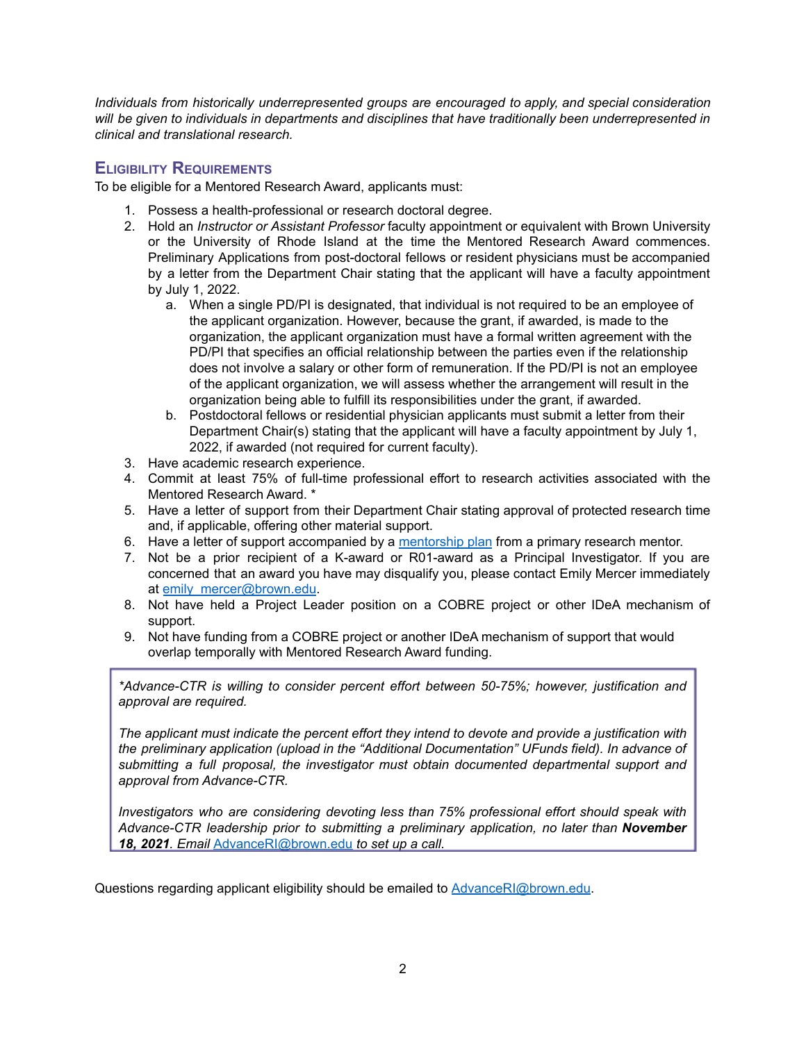*Individuals from historically underrepresented groups are encouraged to apply, and special consideration will be given to individuals in departments and disciplines that have traditionally been underrepresented in clinical and translational research.*

# <span id="page-1-0"></span>**ELIGIBILITY REQUIREMENTS**

To be eligible for a Mentored Research Award, applicants must:

- 1. Possess a health-professional or research doctoral degree.
- 2. Hold an *Instructor or Assistant Professor* faculty appointment or equivalent with Brown University or the University of Rhode Island at the time the Mentored Research Award commences. Preliminary Applications from post-doctoral fellows or resident physicians must be accompanied by a letter from the Department Chair stating that the applicant will have a faculty appointment by July 1, 2022.
	- a. When a single PD/PI is designated, that individual is not required to be an employee of the applicant organization. However, because the grant, if awarded, is made to the organization, the applicant organization must have a formal written agreement with the PD/PI that specifies an official relationship between the parties even if the relationship does not involve a salary or other form of remuneration. If the PD/PI is not an employee of the applicant organization, we will assess whether the arrangement will result in the organization being able to fulfill its responsibilities under the grant, if awarded.
	- b. Postdoctoral fellows or residential physician applicants must submit a letter from their Department Chair(s) stating that the applicant will have a faculty appointment by July 1, 2022, if awarded (not required for current faculty).
- 3. Have academic research experience.
- 4. Commit at least 75% of full-time professional effort to research activities associated with the Mentored Research Award. \*
- 5. Have a letter of support from their Department Chair stating approval of protected research time and, if applicable, offering other material support.
- 6. Have a letter of support accompanied by a [mentorship](#page-9-1) plan from a primary research mentor.
- 7. Not be a prior recipient of a K-award or R01-award as a Principal Investigator. If you are concerned that an award you have may disqualify you, please contact Emily Mercer immediately at [emily\\_mercer@brown.edu](mailto:emily_mercer@brown.edu).
- 8. Not have held a Project Leader position on a COBRE project or other IDeA mechanism of support.
- 9. Not have funding from a COBRE project or another IDeA mechanism of support that would overlap temporally with Mentored Research Award funding.

*\*Advance-CTR is willing to consider percent effort between 50-75%; however, justification and approval are required.*

*The applicant must indicate the percent effort they intend to devote and provide a justification with the preliminary application (upload in the "Additional Documentation" UFunds field). In advance of submitting a full proposal, the investigator must obtain documented departmental support and approval from Advance-CTR.*

*Investigators who are considering devoting less than 75% professional effort should speak with Advance-CTR leadership prior to submitting a preliminary application, no later than November 18, 2021. Email* [AdvanceRI@brown.edu](mailto:AdvanceRI@brown.edu) *to set up a call.*

Questions regarding applicant eligibility should be emailed to [AdvanceRI@brown.edu.](mailto:AdvanceRI@brown.edu)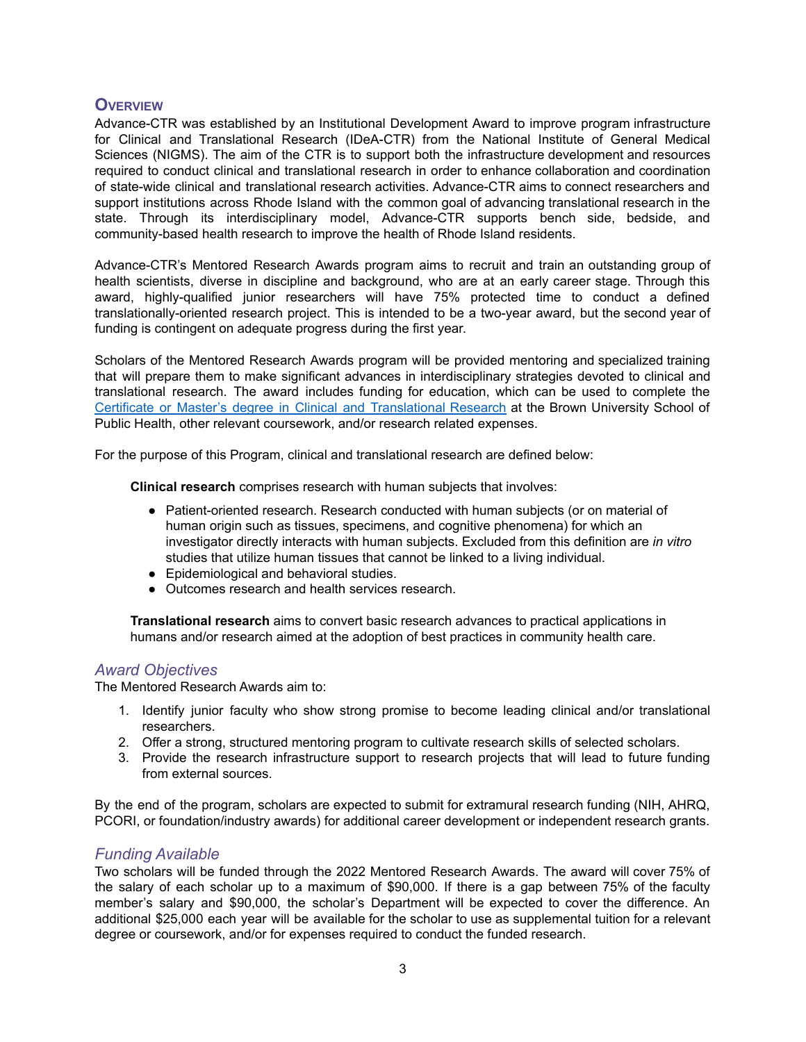# <span id="page-2-0"></span>**OVERVIEW**

Advance-CTR was established by an Institutional Development Award to improve program infrastructure for Clinical and Translational Research (IDeA-CTR) from the National Institute of General Medical Sciences (NIGMS). The aim of the CTR is to support both the infrastructure development and resources required to conduct clinical and translational research in order to enhance collaboration and coordination of state-wide clinical and translational research activities. Advance-CTR aims to connect researchers and support institutions across Rhode Island with the common goal of advancing translational research in the state. Through its interdisciplinary model, Advance-CTR supports bench side, bedside, and community-based health research to improve the health of Rhode Island residents.

Advance-CTR's Mentored Research Awards program aims to recruit and train an outstanding group of health scientists, diverse in discipline and background, who are at an early career stage. Through this award, highly-qualified junior researchers will have 75% protected time to conduct a defined translationally-oriented research project. This is intended to be a two-year award, but the second year of funding is contingent on adequate progress during the first year.

Scholars of the Mentored Research Awards program will be provided mentoring and specialized training that will prepare them to make significant advances in interdisciplinary strategies devoted to clinical and translational research. The award includes funding for education, which can be used to complete the Certificate or Master's degree in Clinical and [Translational](https://www.brown.edu/academics/public-health/ctr/) Research at the Brown University School of Public Health, other relevant coursework, and/or research related expenses.

For the purpose of this Program, clinical and translational research are defined below:

**Clinical research** comprises research with human subjects that involves:

- Patient-oriented research. Research conducted with human subjects (or on material of human origin such as tissues, specimens, and cognitive phenomena) for which an investigator directly interacts with human subjects. Excluded from this definition are *in vitro* studies that utilize human tissues that cannot be linked to a living individual.
- Epidemiological and behavioral studies.
- Outcomes research and health services research.

**Translational research** aims to convert basic research advances to practical applications in humans and/or research aimed at the adoption of best practices in community health care.

# *Award Objectives*

The Mentored Research Awards aim to:

- 1. Identify junior faculty who show strong promise to become leading clinical and/or translational researchers.
- 2. Offer a strong, structured mentoring program to cultivate research skills of selected scholars.
- 3. Provide the research infrastructure support to research projects that will lead to future funding from external sources.

By the end of the program, scholars are expected to submit for extramural research funding [\(NIH](http://nih.gov/), [AHRQ,](http://www.ahrq.gov/) [PCORI,](http://www.pcori.org/) or foundation/industry awards) for additional career development or independent research grants.

# *Funding Available*

Two scholars will be funded through the 2022 Mentored Research Awards. The award will cover 75% of the salary of each scholar up to a maximum of \$90,000. If there is a gap between 75% of the faculty member's salary and \$90,000, the scholar's Department will be expected to cover the difference. An additional \$25,000 each year will be available for the scholar to use as supplemental tuition for a relevant degree or coursework, and/or for expenses required to conduct the funded research.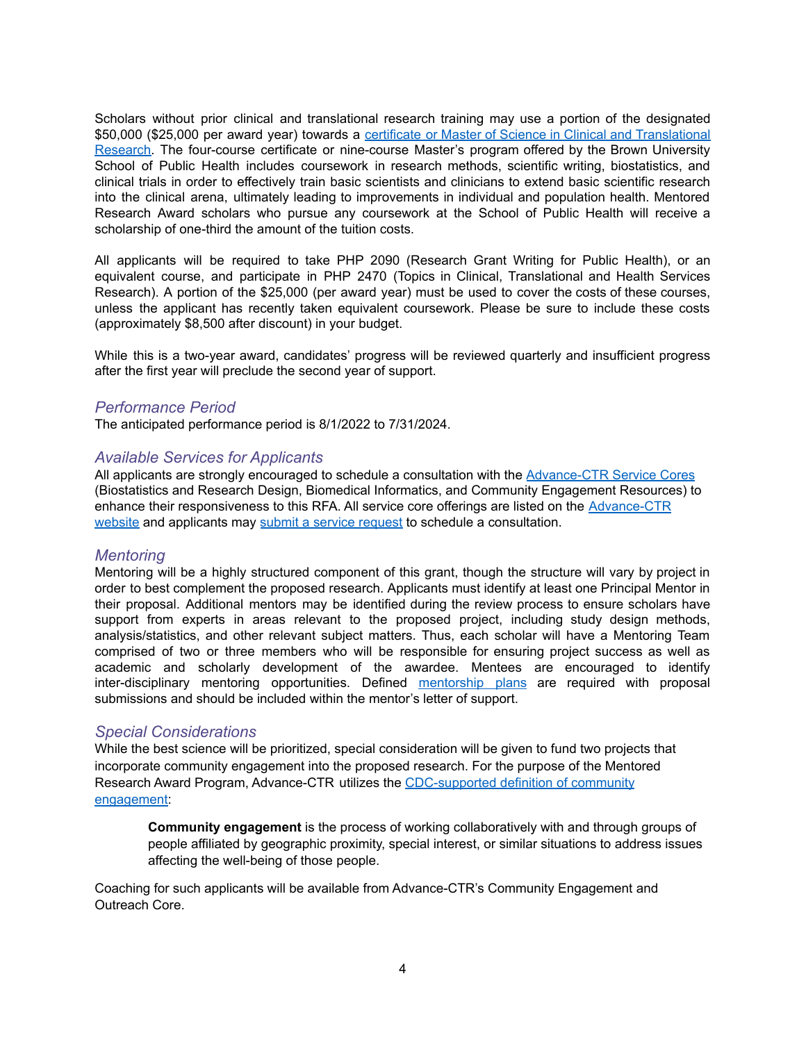Scholars without prior clinical and translational research training may use a portion of the designated \$50,000 (\$25,000 per award year) towards a certificate or Master of Science in Clinical and [Translational](https://www.brown.edu/academics/public-health/ctr/) [Research.](https://www.brown.edu/academics/public-health/ctr/) The four-course certificate or nine-course Master's program offered by the Brown University School of Public Health includes coursework in research methods, scientific writing, biostatistics, and clinical trials in order to effectively train basic scientists and clinicians to extend basic scientific research into the clinical arena, ultimately leading to improvements in individual and population health. Mentored Research Award scholars who pursue any coursework at the School of Public Health will receive a scholarship of one-third the amount of the tuition costs.

All applicants will be required to take PHP 2090 (Research Grant Writing for Public Health), or an equivalent course, and participate in PHP 2470 (Topics in Clinical, Translational and Health Services Research). A portion of the \$25,000 (per award year) must be used to cover the costs of these courses, unless the applicant has recently taken equivalent coursework. Please be sure to include these costs (approximately \$8,500 after discount) in your budget.

While this is a two-year award, candidates' progress will be reviewed quarterly and insufficient progress after the first year will preclude the second year of support.

# *Performance Period*

The anticipated performance period is 8/1/2022 to 7/31/2024.

## *Available Services for Applicants*

All applicants are strongly encouraged to schedule a consultation with the [Advance-CTR](https://advancectr.brown.edu/research-services) Service Cores (Biostatistics and Research Design, Biomedical Informatics, and Community Engagement Resources) to enhance their responsiveness to this RFA. All service core offerings are listed on the [Advance-CTR](https://advancectr.brown.edu/research-services) [website](https://advancectr.brown.edu/research-services) and applicants may submit a service [request](https://advancectr.brown.edu/schedule-service-consultation) to schedule a consultation.

## *Mentoring*

Mentoring will be a highly structured component of this grant, though the structure will vary by project in order to best complement the proposed research. Applicants must identify at least one Principal Mentor in their proposal. Additional mentors may be identified during the review process to ensure scholars have support from experts in areas relevant to the proposed project, including study design methods, analysis/statistics, and other relevant subject matters. Thus, each scholar will have a Mentoring Team comprised of two or three members who will be responsible for ensuring project success as well as academic and scholarly development of the awardee. Mentees are encouraged to identify inter-disciplinary mentoring opportunities. Defined [mentorship](#page-9-1) plans are required with proposal submissions and should be included within the mentor's letter of support.

# *Special Considerations*

While the best science will be prioritized, special consideration will be given to fund two projects that incorporate community engagement into the proposed research. For the purpose of the Mentored Research Award Program, Advance-CTR utilizes the [CDC-supported](https://www.atsdr.cdc.gov/communityengagement/pdf/PCE_Report_508_FINAL.pdf) definition of community [engagement:](https://www.atsdr.cdc.gov/communityengagement/pdf/PCE_Report_508_FINAL.pdf)

**Community engagement** is the process of working collaboratively with and through groups of people affiliated by geographic proximity, special interest, or similar situations to address issues affecting the well-being of those people.

Coaching for such applicants will be available from Advance-CTR's Community Engagement and Outreach Core.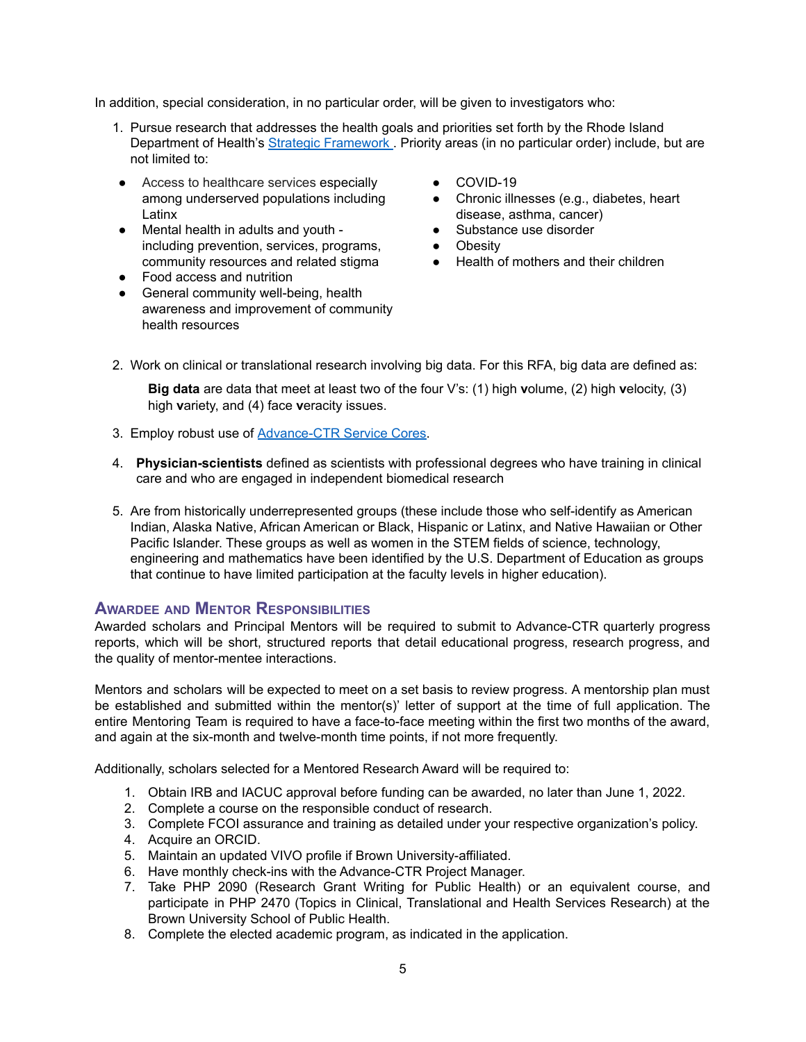In addition, special consideration, in no particular order, will be given to investigators who:

- 1. Pursue research that addresses the health goals and priorities set forth by the Rhode Island Department of Health's Strategic [Framework](https://health.ri.gov/about/strategicframework/) . Priority areas (in no particular order) include, but are not limited to:
- Access to healthcare services especially among underserved populations including Latinx
- Mental health in adults and youth including prevention, services, programs, community resources and related stigma
- Food access and nutrition
- General community well-being, health awareness and improvement of community health resources
- COVID-19
- Chronic illnesses (e.g., diabetes, heart disease, asthma, cancer)
- Substance use disorder
- Obesity
- Health of mothers and their children
- 2. Work on clinical or translational research involving big data. For this RFA, big data are defined as:

**Big data** are data that meet at least two of the four V's: (1) high **v**olume, (2) high **v**elocity, (3) high **v**ariety, and (4) face **v**eracity issues.

- 3. Employ robust use of [Advance-CTR](https://advancectr.brown.edu/research-services) Service Cores.
- 4. **Physician-scientists** defined as scientists with professional degrees who have training in clinical care and who are engaged in independent biomedical research
- 5. Are from historically underrepresented groups (these include those who self-identify as American Indian, Alaska Native, African American or Black, Hispanic or Latinx, and Native Hawaiian or Other Pacific Islander. These groups as well as women in the STEM fields of science, technology, engineering and mathematics have been identified by the U.S. Department of Education as groups that continue to have limited participation at the faculty levels in higher education).

# <span id="page-4-0"></span>**AWARDEE AND MENTOR RESPONSIBILITIES**

Awarded scholars and Principal Mentors will be required to submit to Advance-CTR quarterly progress reports, which will be short, structured reports that detail educational progress, research progress, and the quality of mentor-mentee interactions.

Mentors and scholars will be expected to meet on a set basis to review progress. A mentorship plan must be established and submitted within the mentor(s)' letter of support at the time of full application. The entire Mentoring Team is required to have a face-to-face meeting within the first two months of the award, and again at the six-month and twelve-month time points, if not more frequently.

Additionally, scholars selected for a Mentored Research Award will be required to:

- 1. Obtain IRB and IACUC approval before funding can be awarded, no later than June 1, 2022.
- 2. Complete a course on the responsible conduct of research.
- 3. Complete FCOI assurance and training as detailed under your respective organization's policy.
- 4. Acquire an ORCID.
- 5. Maintain an updated VIVO profile if Brown University-affiliated.
- 6. Have monthly check-ins with the Advance-CTR Project Manager.
- 7. Take PHP [2090](https://cab.brown.edu/) (Research Grant Writing for Public Health) or an equivalent course, and participate in PHP [2470](https://cab.brown.edu/) (Topics in Clinical, Translational and Health Services Research) at the Brown University School of Public Health.
- 8. Complete the elected academic program, as indicated in the application.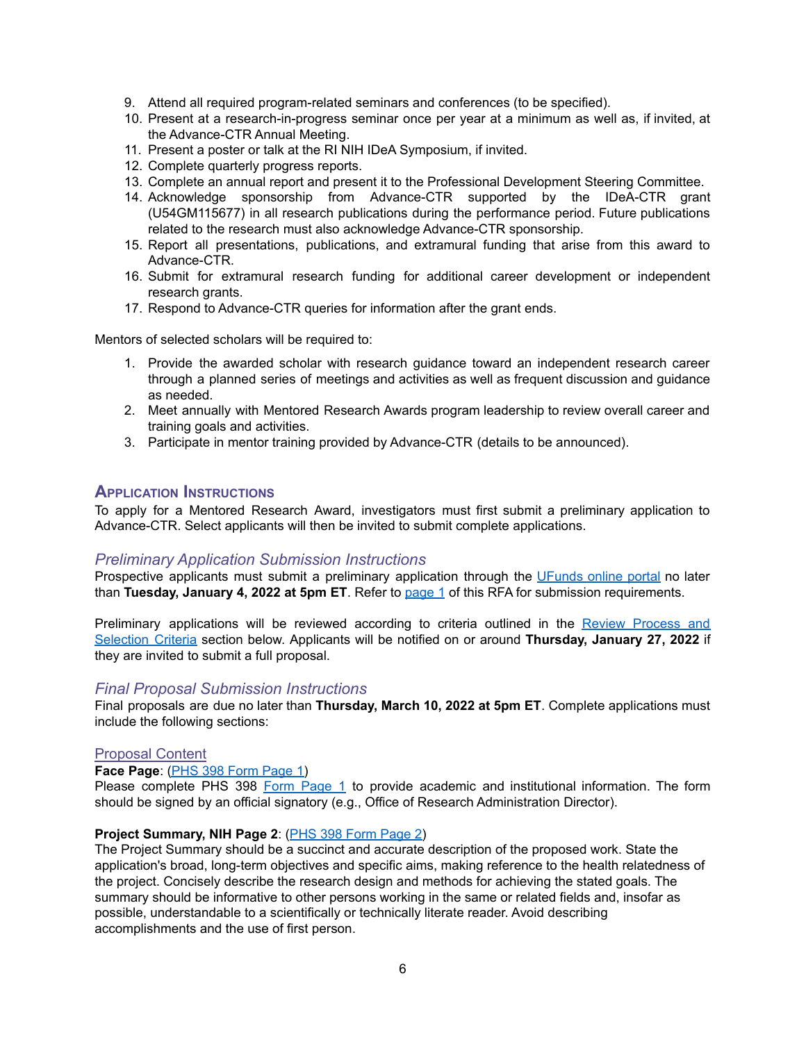- 9. Attend all required program-related seminars and conferences (to be specified).
- 10. Present at a research-in-progress seminar once per year at a minimum as well as, if invited, at the Advance-CTR Annual Meeting.
- 11. Present a poster or talk at the RI NIH IDeA Symposium, if invited.
- 12. Complete quarterly progress reports.
- 13. Complete an annual report and present it to the Professional Development Steering Committee.
- 14. Acknowledge sponsorship from Advance-CTR supported by the IDeA-CTR grant (U54GM115677) in all research publications during the performance period. Future publications related to the research must also acknowledge Advance-CTR sponsorship.
- 15. Report all presentations, publications, and extramural funding that arise from this award to Advance-CTR.
- 16. Submit for extramural research funding for additional career development or independent research grants.
- 17. Respond to Advance-CTR queries for information after the grant ends.

Mentors of selected scholars will be required to:

- 1. Provide the awarded scholar with research guidance toward an independent research career through a planned series of meetings and activities as well as frequent discussion and guidance as needed.
- 2. Meet annually with Mentored Research Awards program leadership to review overall career and training goals and activities.
- 3. Participate in mentor training provided by Advance-CTR (details to be announced).

### <span id="page-5-0"></span>**APPLICATION INSTRUCTIONS**

To apply for a Mentored Research Award, investigators must first submit a preliminary application to Advance-CTR. Select applicants will then be invited to submit complete applications.

#### *Preliminary Application Submission Instructions*

Prospective applicants must submit a preliminary application through the [UFunds](https://ufunds.brown.edu/) online portal no later than **Tuesday, January 4, 2022 at 5pm ET**. Refer to [page](#page-0-0) 1 of this RFA for submission requirements.

Preliminary applications will be reviewed according to criteria outlined in the Review [Process](#page-10-0) and [Selection](#page-10-0) Criteria section below. Applicants will be notified on or around **Thursday, January 27, 2022** if they are invited to submit a full proposal.

## *Final Proposal Submission Instructions*

Final proposals are due no later than **Thursday, March 10, 2022 at 5pm ET**. Complete applications must include the following sections:

#### Proposal Content

#### **Face Page**: (PHS 398 Form [Page](http://grants.nih.gov/grants/funding/phs398/398_fp1.docx) 1)

Please complete PHS 398 Form [Page](https://grants.nih.gov/grants/funding/phs398/fp1.pdf) 1 to provide academic and institutional information. The form should be signed by an official signatory (e.g., Office of Research Administration Director).

#### **Project Summary, NIH Page 2**: (PHS 398 Form [Page](http://grants.nih.gov/grants/funding/phs398/398_fp2.docx) 2)

The Project Summary should be a succinct and accurate description of the proposed work. State the application's broad, long-term objectives and specific aims, making reference to the health relatedness of the project. Concisely describe the research design and methods for achieving the stated goals. The summary should be informative to other persons working in the same or related fields and, insofar as possible, understandable to a scientifically or technically literate reader. Avoid describing accomplishments and the use of first person.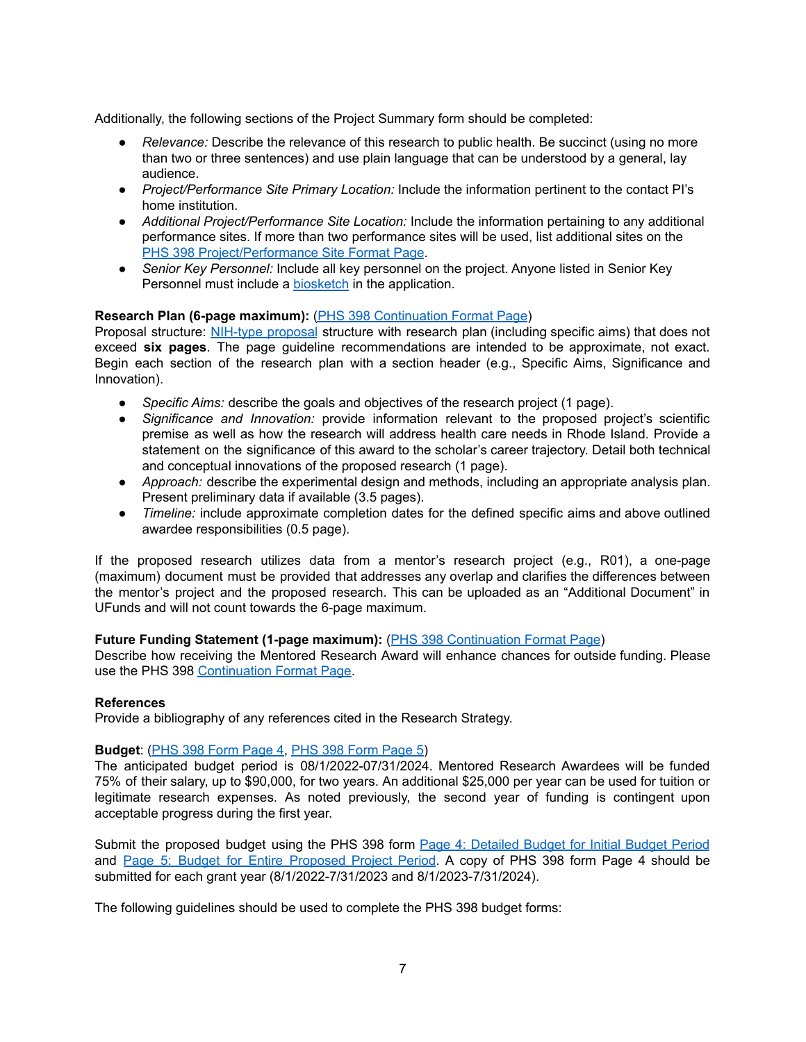Additionally, the following sections of the Project Summary form should be completed:

- *Relevance:* Describe the relevance of this research to public health. Be succinct (using no more than two or three sentences) and use plain language that can be understood by a general, lay audience.
- *Project/Performance Site Primary Location:* Include the information pertinent to the contact PI's home institution.
- *Additional Project/Performance Site Location:* Include the information pertaining to any additional performance sites. If more than two performance sites will be used, list additional sites on the PHS 398 [Project/Performance](https://grants.nih.gov/grants/funding/phs398/398_performancesite.docx) Site Format Page.
- *Senior Key Personnel:* Include all key personnel on the project. Anyone listed in Senior Key Personnel must include a [biosketch](http://grants.nih.gov/grants/funding/424/SF424R-R_biosketch_VerC.docx) in the application.

### **Research Plan (6-page maximum):** (PHS 398 [Continuation](https://grants.nih.gov/grants/funding/phs398/398_continuation.docx) Format Page)

Proposal structure: [NIH-type](https://grants.nih.gov/grants/funding/phs398/phs398.html) proposal structure with research plan (including specific aims) that does not exceed **six pages**. The page guideline recommendations are intended to be approximate, not exact. Begin each section of the research plan with a section header (e.g., Specific Aims, Significance and Innovation).

- *Specific Aims:* describe the goals and objectives of the research project (1 page).
- *Significance and Innovation:* provide information relevant to the proposed project's scientific premise as well as how the research will address health care needs in Rhode Island. Provide a statement on the significance of this award to the scholar's career trajectory. Detail both technical and conceptual innovations of the proposed research (1 page).
- *Approach:* describe the experimental design and methods, including an appropriate analysis plan. Present preliminary data if available (3.5 pages).
- *Timeline:* include approximate completion dates for the defined specific aims and above outlined awardee responsibilities (0.5 page).

If the proposed research utilizes data from a mentor's research project (e.g., R01), a one-page (maximum) document must be provided that addresses any overlap and clarifies the differences between the mentor's project and the proposed research. This can be uploaded as an "Additional Document" in UFunds and will not count towards the 6-page maximum.

#### **Future Funding Statement (1-page maximum):** (PHS 398 [Continuation](https://grants.nih.gov/grants/funding/phs398/398_continuation.docx) Format Page)

Describe how receiving the Mentored Research Award will enhance chances for outside funding. Please use the PHS 398 [Continuation](https://grants.nih.gov/grants/funding/phs398/398_continuation.docx) Format Page.

#### **References**

Provide a bibliography of any references cited in the Research Strategy.

#### **Budget**: (PHS 398 Form [Page](https://grants.nih.gov/grants/funding/phs398/fp4.pdf) 4, PHS 398 Form [Page](https://grants.nih.gov/grants/funding/phs398/fp5.pdf) 5)

The anticipated budget period is 08/1/2022-07/31/2024. Mentored Research Awardees will be funded 75% of their salary, up to \$90,000, for two years. An additional \$25,000 per year can be used for tuition or legitimate research expenses. As noted previously, the second year of funding is contingent upon acceptable progress during the first year.

Submit the proposed budget using the PHS 398 form Page 4: [Detailed](https://grants.nih.gov/grants/funding/phs398/fp4.pdf) Budget for Initial Budget Period and Page 5: Budget for Entire [Proposed](https://grants.nih.gov/grants/funding/phs398/fp5.pdf) Project Period. A copy of PHS 398 form Page 4 should be submitted for each grant year (8/1/2022-7/31/2023 and 8/1/2023-7/31/2024).

The following guidelines should be used to complete the PHS 398 budget forms: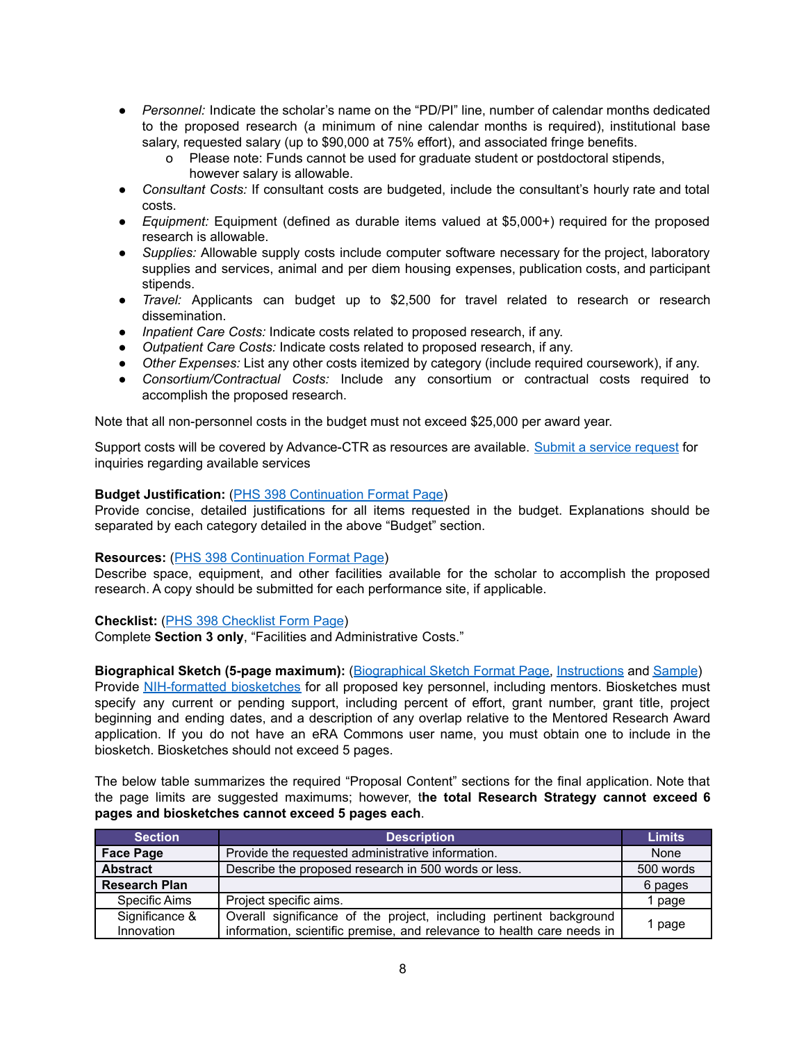- *Personnel:* Indicate the scholar's name on the "PD/PI" line, number of calendar months dedicated to the proposed research (a minimum of nine calendar months is required), institutional base salary, requested salary (up to \$90,000 at 75% effort), and associated fringe benefits.
	- o Please note: Funds cannot be used for graduate student or postdoctoral stipends, however salary is allowable.
- *Consultant Costs:* If consultant costs are budgeted, include the consultant's hourly rate and total costs.
- *Equipment:* Equipment (defined as durable items valued at \$5,000+) required for the proposed research is allowable.
- *Supplies:* Allowable supply costs include computer software necessary for the project, laboratory supplies and services, animal and per diem housing expenses, publication costs, and participant stipends.
- *Travel:* Applicants can budget up to \$2,500 for travel related to research or research dissemination.
- *Inpatient Care Costs:* Indicate costs related to proposed research, if any.
- *Outpatient Care Costs:* Indicate costs related to proposed research, if any.
- *Other Expenses:* List any other costs itemized by category (include required coursework), if any.
- *Consortium/Contractual Costs:* Include any consortium or contractual costs required to accomplish the proposed research.

Note that all non-personnel costs in the budget must not exceed \$25,000 per award year.

Support costs will be covered by Advance-CTR as resources are available. Submit a service [request](https://advancectr.brown.edu/schedule-service-consultation) for inquiries regarding available services

#### **Budget Justification:** (PHS 398 [Continuation](https://grants.nih.gov/grants/funding/phs398/398_continuation.docx) Format Page)

Provide concise, detailed justifications for all items requested in the budget. Explanations should be separated by each category detailed in the above "Budget" section.

#### **Resources:** (PHS 398 [Continuation](https://grants.nih.gov/grants/funding/phs398/398_continuation.docx) Format Page)

Describe space, equipment, and other facilities available for the scholar to accomplish the proposed research. A copy should be submitted for each performance site, if applicable.

#### **Checklist:** (PHS 398 [Checklist](https://grants.nih.gov/grants/funding/phs398/398_checklist.docx) Form Page)

Complete **Section 3 only**, "Facilities and Administrative Costs."

#### **Biographical Sketch (5-page maximum):** ([Biographical](https://grants.nih.gov/grants/forms/biosketch-blank-format-rev-12-2020-exp-02-28-2023.docx) Sketch Format Page, [Instructions](http://grants.nih.gov/grants/forms/application-guide-biosketch-instructions-rev-06-28-2021.docx) and [Sample](http://grants.nih.gov/grants/forms/non-fellowship-biosketch-sample-2021.docx))

Provide [NIH-formatted](http://grants.nih.gov/grants/policy/faq_biosketches.htm) biosketches for all proposed key personnel, including mentors. Biosketches must specify any current or pending support, including percent of effort, grant number, grant title, project beginning and ending dates, and a description of any overlap relative to the Mentored Research Award application. If you do not have an eRA Commons user name, you must obtain one to include in the biosketch. Biosketches should not exceed 5 pages.

The below table summarizes the required "Proposal Content" sections for the final application. Note that the page limits are suggested maximums; however, t**he total Research Strategy cannot exceed 6 pages and biosketches cannot exceed 5 pages each**.

| <b>Section</b>       | <b>Description</b>                                                     | <b>Limits</b> |
|----------------------|------------------------------------------------------------------------|---------------|
| <b>Face Page</b>     | Provide the requested administrative information.                      | None          |
| <b>Abstract</b>      | Describe the proposed research in 500 words or less.                   | 500 words     |
| <b>Research Plan</b> |                                                                        | 6 pages       |
| <b>Specific Aims</b> | Project specific aims.                                                 | 1 page        |
| Significance &       | Overall significance of the project, including pertinent background    |               |
| Innovation           | information, scientific premise, and relevance to health care needs in | 1 page        |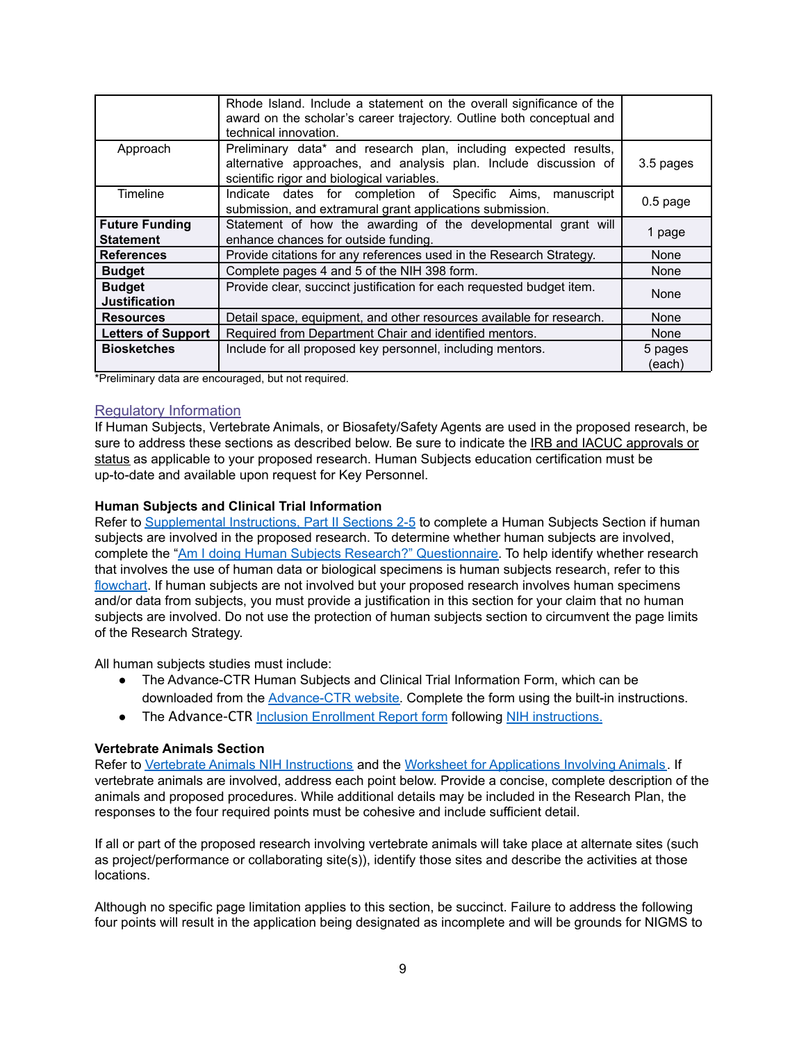|                                           | Rhode Island. Include a statement on the overall significance of the<br>award on the scholar's career trajectory. Outline both conceptual and<br>technical innovation.             |                   |
|-------------------------------------------|------------------------------------------------------------------------------------------------------------------------------------------------------------------------------------|-------------------|
| Approach                                  | Preliminary data* and research plan, including expected results,<br>alternative approaches, and analysis plan. Include discussion of<br>scientific rigor and biological variables. | 3.5 pages         |
| Timeline                                  | Indicate dates for completion of Specific Aims, manuscript<br>submission, and extramural grant applications submission.                                                            | $0.5$ page        |
| <b>Future Funding</b><br><b>Statement</b> | Statement of how the awarding of the developmental grant will<br>enhance chances for outside funding.                                                                              | 1 page            |
| <b>References</b>                         | Provide citations for any references used in the Research Strategy.                                                                                                                | <b>None</b>       |
| <b>Budget</b>                             | Complete pages 4 and 5 of the NIH 398 form.                                                                                                                                        | None              |
| <b>Budget</b><br><b>Justification</b>     | Provide clear, succinct justification for each requested budget item.                                                                                                              | None              |
| <b>Resources</b>                          | Detail space, equipment, and other resources available for research.                                                                                                               | None              |
| <b>Letters of Support</b>                 | Required from Department Chair and identified mentors.                                                                                                                             | None              |
| <b>Biosketches</b>                        | Include for all proposed key personnel, including mentors.                                                                                                                         | 5 pages<br>(each) |

\*Preliminary data are encouraged, but not required.

### Regulatory Information

If Human Subjects, Vertebrate Animals, or Biosafety/Safety Agents are used in the proposed research, be sure to address these sections as described below. Be sure to indicate the IRB and IACUC approvals or status as applicable to your proposed research. Human Subjects education certification must be up-to-date and available upon request for Key Personnel.

#### **Human Subjects and Clinical Trial Information**

Refer to [Supplemental](http://grants.nih.gov/grants/how-to-apply-application-guide/forms-d/supplemental-instructions-forms-d.pdf) Instructions, Part II Sections 2-5 to complete a Human Subjects Section if human subjects are involved in the proposed research. To determine whether human subjects are involved, complete the "Am I doing Human Subjects Research?" [Questionnaire.](https://humansubjects.nih.gov/questionnaire) To help identify whether research that involves the use of human data or biological specimens is human subjects research, refer to this [flowchart.](http://grants.nih.gov/grants/policy/hs/PrivateInfoOrBioSpecimensDecisionChart.pdf) If human subjects are not involved but your proposed research involves human specimens and/or data from subjects, you must provide a justification in this section for your claim that no human subjects are involved. Do not use the protection of human subjects section to circumvent the page limits of the Research Strategy.

All human subjects studies must include:

- The Advance-CTR Human Subjects and Clinical Trial Information Form, which can be downloaded from the [Advance-CTR](https://advancectr.brown.edu/award-programs/awardee-archive/pilot-awardees/human-subjects-and-clinical-trial-information-form) website. Complete the form using the built-in instructions.
- The Advance-CTR Inclusion [Enrollment](https://advancectr.brown.edu/award-programs/awardee-archive/pilot-awardees/human-subjects-and-clinical-trial-information-form) Report form following NIH [instructions.](https://grants.nih.gov/grants/how-to-apply-application-guide/forms-e/general/g.500-phs-human-subjects-and-clinical-trials-information.htm#Inclusion)

#### **Vertebrate Animals Section**

Refer to Vertebrate Animals NIH [Instructions](https://grants.nih.gov/grants/how-to-apply-application-guide/forms-e/general/g.400-phs-398-research-plan-form.htm#5) and the Worksheet for [Applications](https://grants.nih.gov/grants/olaw/vaschecklist.pdf) Involving Animals. If vertebrate animals are involved, address each point below. Provide a concise, complete description of the animals and proposed procedures. While additional details may be included in the Research Plan, the responses to the four required points must be cohesive and include sufficient detail.

If all or part of the proposed research involving vertebrate animals will take place at alternate sites (such as project/performance or collaborating site(s)), identify those sites and describe the activities at those locations.

Although no specific page limitation applies to this section, be succinct. Failure to address the following four points will result in the application being designated as incomplete and will be grounds for NIGMS to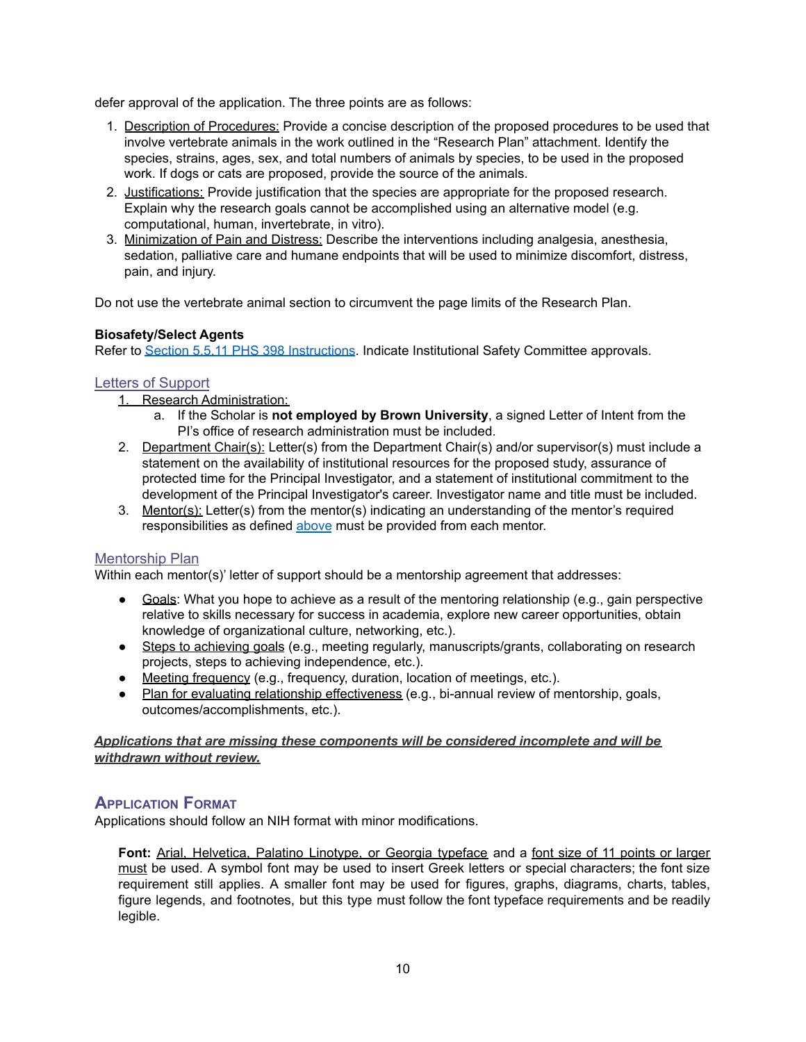defer approval of the application. The three points are as follows:

- 1. Description of Procedures: Provide a concise description of the proposed procedures to be used that involve vertebrate animals in the work outlined in the "Research Plan" attachment. Identify the species, strains, ages, sex, and total numbers of animals by species, to be used in the proposed work. If dogs or cats are proposed, provide the source of the animals.
- 2. Justifications: Provide justification that the species are appropriate for the proposed research. Explain why the research goals cannot be accomplished using an alternative model (e.g. computational, human, invertebrate, in vitro).
- 3. Minimization of Pain and Distress: Describe the interventions including analgesia, anesthesia, sedation, palliative care and humane endpoints that will be used to minimize discomfort, distress, pain, and injury.

Do not use the vertebrate animal section to circumvent the page limits of the Research Plan.

## **Biosafety/Select Agents**

Refer to Section 5.5.11 PHS 398 [Instructions](https://grants.nih.gov/grants/funding/phs398/phs398.pdf). Indicate Institutional Safety Committee approvals.

## Letters of Support

- 1. Research Administration:
	- a. If the Scholar is **not employed by Brown University**, a signed Letter of Intent from the PI's office of research administration must be included.
- 2. Department Chair(s): Letter(s) from the Department Chair(s) and/or supervisor(s) must include a statement on the availability of institutional resources for the proposed study, assurance of protected time for the Principal Investigator, and a statement of institutional commitment to the development of the Principal Investigator's career. Investigator name and title must be included.
- 3. Mentor(s): Letter(s) from the mentor(s) indicating an understanding of the mentor's required responsibilities as defined [above](#page-4-0) must be provided from each mentor.

## <span id="page-9-1"></span>Mentorship Plan

Within each mentor(s)' letter of support should be a mentorship agreement that addresses:

- Goals: What you hope to achieve as a result of the mentoring relationship (e.g., gain perspective relative to skills necessary for success in academia, explore new career opportunities, obtain knowledge of organizational culture, networking, etc.).
- Steps to achieving goals (e.g., meeting regularly, manuscripts/grants, collaborating on research projects, steps to achieving independence, etc.).
- Meeting frequency (e.g., frequency, duration, location of meetings, etc.).
- Plan for evaluating relationship effectiveness (e.g., bi-annual review of mentorship, goals, outcomes/accomplishments, etc.).

## *Applications that are missing these components will be considered incomplete and will be withdrawn without review.*

# <span id="page-9-0"></span>**APPLICATION FORMAT**

Applications should follow an NIH format with minor modifications.

**Font:** Arial, Helvetica, Palatino Linotype, or Georgia typeface and a font size of 11 points or larger must be used. A symbol font may be used to insert Greek letters or special characters; the font size requirement still applies. A smaller font may be used for figures, graphs, diagrams, charts, tables, figure legends, and footnotes, but this type must follow the font typeface requirements and be readily legible.